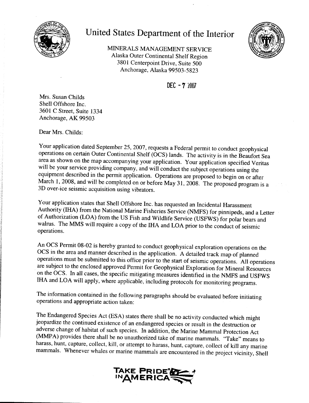

## United States Department of the Interior



MINERALS MANAGEMENT SERVICE Alaska Outer Continental Shelf Region 3801 Centerpoint Drive, Suite 500 Anchorage, Alaska 99503-5823

 $DEC - 72007$ 

Mrs. Susan Childs Shell Offshore Inc. 3601 C Street, Suite 1334 Anchorage, AK 99503

Dear Mrs. Childs:

Your application dated September 25, 2007, requests a Federal permit to conduct geophysical operations on certain Outer Continental Shelf (OCS) lands. The activity is in the Beaufort Sea area as shown on the map accompanying your application. Your application specified Veritas will be your service providing company, and will conduct the subject operations using the equipment described in the permit application. Operations are proposed to begin on or after March 1, 2008, and will be completed on or before May 31, 2008. The proposed program is a 3D over-ice seismic acquisition using vibrators.

Your application states that Shell Offshore Inc. has requested an Incidental Harassment Authority (IHA) from the National Marine Fisheries Service (NMFS) for pinnipeds, and a Letter of Authorization (LOA) from the US Fish and Wildlife Service (USFWS) for polar bears and walrus. The MMS will require a copy of the IHA and LOA prior to the conduct of seismic operations.

An OCS Permit 08-02 is hereby granted to conduct geophysical exploration operations on the OCS in the area and manner described in the application. A detailed track map of planned operations must be submitted to this office prior to the start of seismic operations. All operations are subject to the enclosed approved Permit for Geophysical Exploration for Mineral Resources on the OCS. In all cases, the specific mitigating measures identified in the NMFS and USFWS IHA and LOA will apply, where applicable, including protocols for monitoring programs.

The information contained in the following paragraphs should be evaluated before initiating operations and appropriate action taken:

The Endangered Species Act (ESA) states there shall be no activity conducted which might jeopardize the continued existence of an endangered species or result in the destruction or adverse change of habitat of such species. In addition, the Marine Mammal Protection Act (MMPA) provides there shall be no unauthorized take of marine mammals. "Take" means to harass, hunt, capture, collect, kill, or attempt to harass, hunt, capture, collect of kill any marine mammals. Whenever whales or marine mammals are encountered in the project vicinity, Shell

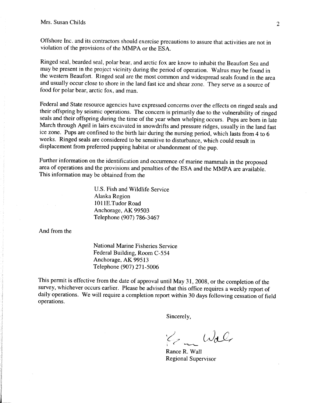Offshore Inc. and its contractors should exercise precautions to assure that activities are not in violation of the provisions of the MMPA or the ESA.

Ringed seal, bearded seal, polar bear, and arctic fox are know to inhabit the Beaufort Sea and may be present in the project vicinity during the period of operation. Walrus may be found in the western Beaufort. Ringed seal are the most common and widespread seals found in the area and usually occur close to shore in the land fast ice and shear zone. They serve as a source of food for polar bear, arctic fox, and man.

Federal and State resource agencies have expressed concerns over the effects on ringed seals and their offspring by seismic operations. The concern is primarily due to the vulnerability of ringed seals and their offspring during the time of the year when whelping occurs. Pups are born in late March through April in lairs excavated in snowdrifts and pressure ridges, usually in the land fast ice zone. Pups are confined to the birth lair during the nursing period, which lasts from 4 to 6 weeks. Ringed seals are considered to be sensitive to disturbance, which could result in displacement from preferred pupping habitat or abandonment of the pup.

Further information on the identification and occurrence of marine mammals in the proposed area of operations and the provisions and penalties of the ESA and the MMPA are available. This information may be obtained from the

> U.S. Fish and Wildlife Service Alaska Region 1011E.Tudor Road Anchorage, AK 99503 Telephone (907) 786-3467

And from the

National Marine Fisheries Service Federal Building, Room C-554 Anchorage, AK 99513 Telephone (907) 271-5006

This permit is effective from the date of approval until May 31, 2008, or the completion of the survey, whichever occurs earlier. Please be advised that this office requires a weekly report of daily operations. We will require a completion report within 30 days following cessation of field operations.

Sincerely,

E Wal

Rance R. Wall Regional Supervisor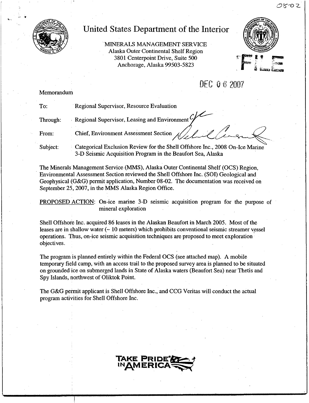

## United States Department of the Interior

-MINERALS MANAGEMENT SERVICE Alaska Outer Continental Shelf Region 3801 Centerpoint Drive, Suite 500 Anchorage, Alaska 99503-5823



## *DEC*  $0.62007$

#### Memorandum

| To:      | Regional Supervisor, Resource Evaluation                                                                                                    |
|----------|---------------------------------------------------------------------------------------------------------------------------------------------|
| Through: | Regional Supervisor, Leasing and Environment Y                                                                                              |
| From:    | Chief, Environment Assessment Section $\sqrt{2\pi}$                                                                                         |
| Subject: | Categorical Exclusion Review for the Shell Offshore Inc., 2008 On-Ice Marine<br>3-D Seismic Acquisition Program in the Beaufort Sea, Alaska |

The Minerals Management Service (MMS), Alaska Outer Continental Shelf *(OCS)* Region, - Environmental Assessment Section reviewed the Shell Offshore Inc. (SOl) Geological and Geophysical (G&G) permit application, Number 08-02. The documentation was received on September 25, 2007, in the MMS Alaska Region Office.

PROPOSED ACTION: On-ice marine 3-D seismic acquisition program for the purpose of mineral exploration

Shell Offshore Inc. acquired 86 leases in the Alaskan Beaufort in March 2005. Most of the leases are in shallow water  $(-10 \text{ meters})$  which prohibits conventional seismic streamer vessel operations. Thus, on-ice seismic acquisition techniques are proposed to meet exploration objectives.

The program is planned entirely within the Federal OCS (see attached map). A mobile temporary field camp, with an access trail to the proposed survey area is planned to be situated on grounded ice on submerged lands in State of Alaska waters (Beaufort Sea) near Thetis and Spy Islands, northwest of Oliktok Point.

The G&G permit applicant is Shell Offshore Inc., and CCG Veritas will conduct the actual program activities for Shell Offshore Inc.

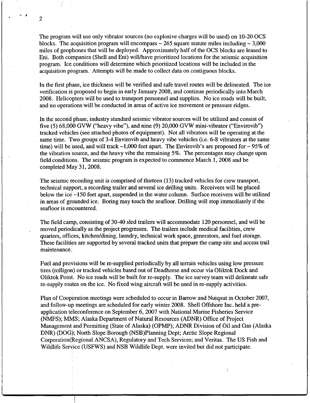The program will use only vibrator sources (no explosive charges will be used) on 10-20 OCS blocks. The acquisition program will encompass  $\sim$  265 square statute miles including  $\sim$  3,000 miles of geophones that will be deployed. Approximately half of the OCS blocks are leased to Eni. Both companies (Shell and Eni) willlhave prioritized locations for the seismic acquisition program. Ice conditions will determine which prioritized locations will be included in the acquisition program. Attempts will be made to collect data on contiguous blocks.

In the first phase, ice thickness will be verified and safe travel routes will be delineated. The ice verification is proposed to begin in early January 2008, and continue periodically into March 2008. Helicopters will be used to transport personnel and supplies. No ice roads will be built, and no operations will be conducted in areas of active ice movement or pressure ridges.

In the second phase, industry standard seismic vibrator sources will be utilized and consist of In the second  $\mu$  mass, measury stationary contribution control with securities and consistent five  $(5)$  68,000 GVW ("heavy vibe"), and nine  $(9)$  20,000 GVW mini-vibrator ("Envirovib") tracked vehicles (see attached photos of equipment). Not all vibrators will be operating at the same time. Two groups of 3-4 Envirovib and heavy vibe vehicles (i.e. 6-8 vibrators at the same time) will be used, and will track  $\sim$ 1,000 feet apart. The Envirovib's are proposed for  $\sim$  95% of the vibration source, and the heavy vibe the remaining 5%. The percentages may change upon field conditions. The seismic program is expected to commence March 1,2008 and be completed May 31, 2008.

The seismic recording unit is comprised of thirteen (13) tracked vehicles for crew transport, technical support, a recording trailer and several ice drilling units. Receivers will be placed below the ice  $\sim$ 150 feet apart, suspended in the water column. Surface receivers will be utilized in areas of grounded ice. Boring may touch the seafloor. Drilling will stop immediately if the seafloor is encountered.

The field camp, consisting of 30-40 sled trailers will accommodate 120 personnel, and will be . moved periodically as the project progresses. The trailers include medical facilities, crew quarters, offices, kitchen/dining, laundry, technical work space, generators, and fuel storage. These facilities are supported by several tracked units that prepare the camp site and access trail maintenance.

Fuel and provisions will be re-supplied periodically by all terrain vehicles using low pressure tires (rolligon) or tracked vehicles based out of Deadhorse and occur via Oliktok Dock and Oliktok Point. No ice roads will be built for re-supply. The ice survey team will delineate safe re-supply routes on the ice. No fixed wing aircraft will be used in re-supply activities.

Plan of Cooperation meetings were scheduled to occur in Barrow and Nuiqsut in October 2007, and follow-up meetings are scheduled for early winter 2008. Shell Offshore Inc. held a preapplication teleconference on September 6,2007 with National Marine Fisheries Service (NMFS); MMS; Alaska Department of Natural Resources (ADNR) Office of Project Management and Permitting (State of Alaska) (OPMP); ADNR Division of Oil and Gas (Alaska DNR) (DOG); North Slope Borough (NSB)Planning Dept; Arctic Slope Regional Corporation(Regional ANCSA), Regulatory and Tech Services; and Veritas. The US Fish and Wildlife Service (USFWS) and NSB Wildlife Dept. were invited but did not participate.

2

i /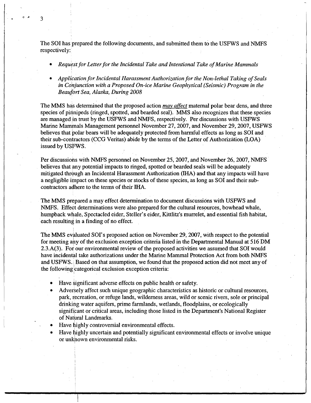The SOI has prepared the following documents, and submitted them to the USFWS and NMFS respectively:

- *• Request.for Letter for the Incidental Take and Intentional Take ofMarine Mammals*
- *• Application for Incidental Harassment Authorization for the Non-lethal Taking of Seals in Conjunction with a Proposed On-ice Marine Geophysical (Seismic) Program in the Beaufort Sea, Alaska, During 2008*

The MMS has determined that the proposed action *may affect* maternal polar bear dens, and three species of pinnipeds (ringed, spotted, and bearded seal). MMS also recognizes that these species are managed in trust by the USFWS and NMFS, respectively. Per discussions with USFWS Marine Mammals Management personnel November 27,2007, and November 29, 2007, USFWS believes that polar bears will be adequately protected from harmful effects as long as SOl and their sub-contractors (CCG Veritas) abide by the terms of the Letter of Authorization (LOA) issued by USfWS.

Per discussions with NMFS personnel on November 25, 2007, and November 26, 2007, NMFS believes that any potential impacts to ringed, spotted or bearded seals will be adequately mitigated through an Incidental Harassment Authorization (IHA) and that any impacts will have a negligible impact on these species or stocks of these species, as long as SOl and their subcontractors adhere to the terms of their IHA.

The MMS prepared a may effect determination to document discussions with USFWS and NMFS. Effect determinations were also prepared for the cultural resources, bowhead whale, humpback whale, Spectacled eider, Steller's eider, Kittlitz's murrelet, and essential fish habitat, each resulting in a finding of no effect.

The MMS evaluated SOl's proposed action on November 29,2007, with respect to the potential for meeting ahy of the exclusion exception criteria listed in the Departmental Manual at 516 DM 2.3.A(3). For our environmental review of the proposed activities we assumed that SOI would have incidental take authorizations under the Marine Mammal Protection Act from both NMFS and USFWS. <sup>i</sup> Based on that assumption, we found that the proposed action did not meet any of the following categorical exclusion exception criteria

- Have significant adverse effects on public health or safety.
- Adversely affect such unique geographic characteristics as historic or cultural resources, park, recreation, or refuge lands, wilderness areas, wild or scenic rivers, sole or principal drinking water aquifers, prime farmlands, wetlands, floodplains, or ecologically significant or critical areas, including those listed in the Department's National Register of Natural Landmarks.
- Have highly controversial environmental effects.
- Have highly uncertain and potentially significant environmental effects or involve unique or unkhown environmental risks. I

3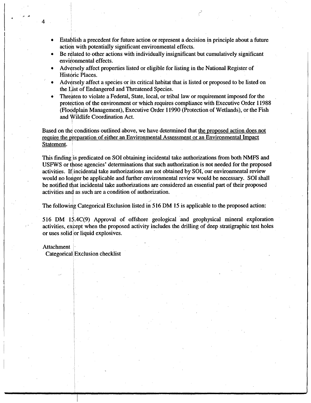- 1 Establish a precedent for future action or represent a decision in principle about a future action with potentially significant environmental effects. '
- Be related to other actions with individually insignificant but cumulatively significant environmental effects.
- Adversely affect properties listed or eligible for listing in the National Register of Historic Places.
- Adversely affect a species or its critical habitat that is listed or proposed to be listed on the List of Endangered and Threatened Species.
- Threaten to violate a Federal, State, local, or tribal law or requirement imposed for the protection of the environment or which requires compliance with Executive Order 11988 (Floodplain Management), Executive Order 11990 (Protection of Wetlands), or the Fish and Wildlife Coordination Act. I

Based on the conditions outlined above, we have determined that the proposed action does not require the preparation of either an Environmental Assessment or an Environmental Impac Statement.

This finding is predicated on SOI obtaining incidental take authorizations from both NMFS and USFWS or those agencies' determinations that such authorization is not needed for the proposed activities. If incidental take authorizations are not obtained by SOI, our environmental review would no longer be applicable and further environmental review would be necessary. SOl shall be notified that incidental take authorizations are considered an essential part of their proposed activities and as such are a condition of authorization

The following Categorical Exclusion listed in 516 DM 15 is applicable to the proposed action

516 DM 15.4C(9) Approval of offshore geological and geophysical mineral exploration activities, except when the proposed activity includes the drilling of deep stratigraphic test holes or uses solid lor liquid explosives.

#### Attachment

4

Categorical] Exclusion checklist

in the contract of the contract of the contract of the contract of the contract of the contract of the contract of

i

I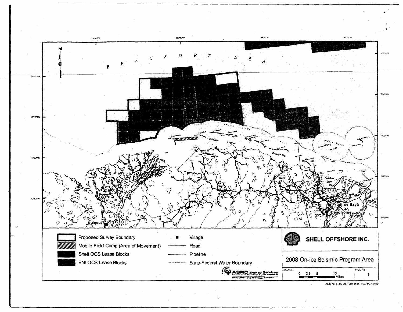

AES·RTS: 07-367,OOl.mxd. 09104107, ROO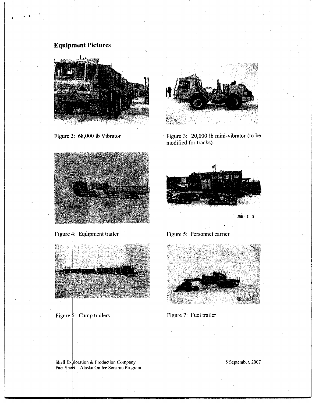### **Equipment Pictures**

I

•



Figure 2: 68,000 lb Vibrator

I .



Figure 3: 20,000 lb mini-vibrator (to be modified for tracks).



Figure  $\frac{1}{4}$ : Equipment trailer



Figure 6: Camp trailers







Figure 7: Fuel trailer

Shell Exploration & Production Company Fact Sheet - Alaska On lee Seismic Program 5 September, 2007